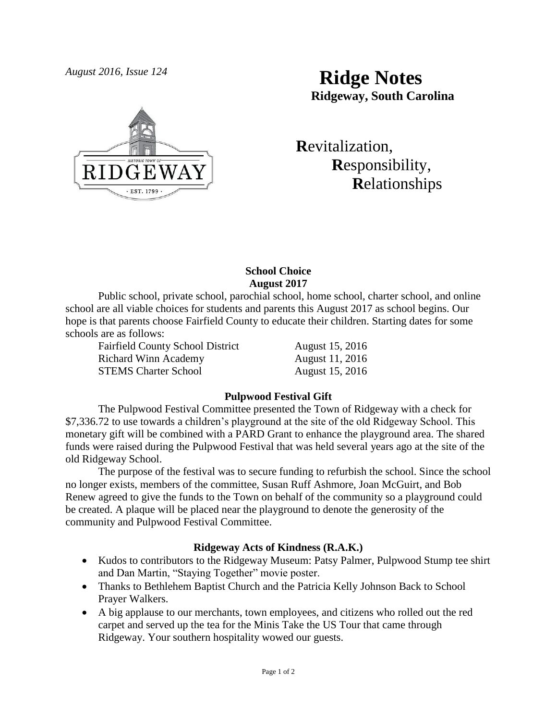

# *August 2016, Issue 124* **Ridge Notes Ridgeway, South Carolina**

 **R**evitalization,  **R**esponsibility,  **R**elationships

### **School Choice August 2017**

Public school, private school, parochial school, home school, charter school, and online school are all viable choices for students and parents this August 2017 as school begins. Our hope is that parents choose Fairfield County to educate their children. Starting dates for some schools are as follows:

Fairfield County School District August 15, 2016 Richard Winn Academy **August 11, 2016** STEMS Charter School August 15, 2016

# **Pulpwood Festival Gift**

The Pulpwood Festival Committee presented the Town of Ridgeway with a check for \$7,336.72 to use towards a children's playground at the site of the old Ridgeway School. This monetary gift will be combined with a PARD Grant to enhance the playground area. The shared funds were raised during the Pulpwood Festival that was held several years ago at the site of the old Ridgeway School.

The purpose of the festival was to secure funding to refurbish the school. Since the school no longer exists, members of the committee, Susan Ruff Ashmore, Joan McGuirt, and Bob Renew agreed to give the funds to the Town on behalf of the community so a playground could be created. A plaque will be placed near the playground to denote the generosity of the community and Pulpwood Festival Committee.

# **Ridgeway Acts of Kindness (R.A.K.)**

- Kudos to contributors to the Ridgeway Museum: Patsy Palmer, Pulpwood Stump tee shirt and Dan Martin, "Staying Together" movie poster.
- Thanks to Bethlehem Baptist Church and the Patricia Kelly Johnson Back to School Prayer Walkers.
- A big applause to our merchants, town employees, and citizens who rolled out the red carpet and served up the tea for the Minis Take the US Tour that came through Ridgeway. Your southern hospitality wowed our guests.